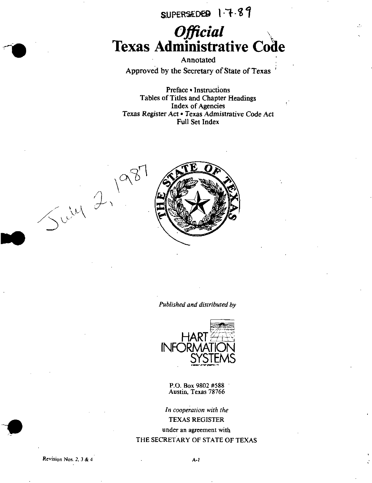SUPERSEDED 1.7.89

# Official<br>Texas Administrative Code

Annotated Approved by the Secretary of State of Texas '

Preface • Instructions Tables of Titles and Chapter Headings Index of Agencies Texas Register Act • Texas Admisirative Code Act Full Set Index



Published and distributed by



P.O. Box 9802 #588 Austin, Texas 78766

In cooperation with the TEXAS REGISTER under an agreement with THE SECRETARY OF STATE OF TEXAS

Revision Nos. 2, 3 & 4  $A-1$ 

 $\bigcup V$ 

 ${\cal W}_\lambda$ 

 $\checkmark$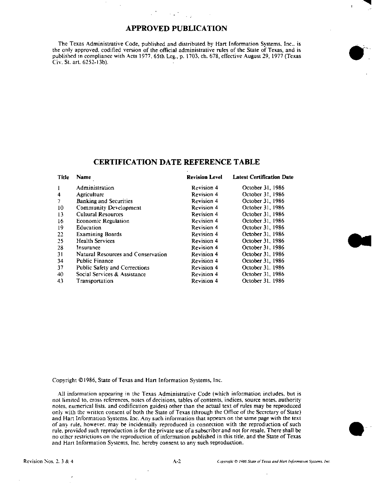### APPROVED PUBLICATION

The Texas Administrative Code, published and distributed by Hart Information Systems, Inc.. is the only approved, codified version of the official administrative rules of the State of Texas, and is pubhshcd in compliance with Acts 1977. 65th Leg., p. 1703, ch. 678, effective August 29, 1977 (Texas Civ. St. art. 6252-13b).

#### CERTIFICATION DATE REFERENCE TABLE

| Title | Name                                 | <b>Revision Level</b> | <b>Latest Certification Date</b> |
|-------|--------------------------------------|-----------------------|----------------------------------|
|       | Administration                       | <b>Revision 4</b>     | October 31, 1986                 |
| 4     | Agriculture                          | <b>Revision 4</b>     | October 31, 1986                 |
|       | <b>Banking and Securities</b>        | <b>Revision 4</b>     | October 31, 1986                 |
| 10    | Community Development                | <b>Revision 4</b>     | October 31, 1986                 |
| 13    | <b>Cultural Resources</b>            | <b>Revision 4</b>     | October 31, 1986                 |
| 16    | Economic Regulation                  | <b>Revision 4</b>     | October 31, 1986                 |
| 19    | Education                            | <b>Revision 4</b>     | October 31, 1986                 |
| 22    | <b>Examining Boards</b>              | <b>Revision 4</b>     | October 31, 1986                 |
| 25    | <b>Health Services</b>               | <b>Revision 4</b>     | October 31, 1986                 |
| 28    | Insurance                            | <b>Revision 4</b>     | October 31, 1986                 |
| 31    | Natural Resources and Conservation   | Revision 4            | October 31, 1986                 |
| 34    | <b>Public Finance</b>                | <b>Revision 4</b>     | October 31, 1986                 |
| 37    | <b>Public Safety and Corrections</b> | <b>Revision 4</b>     | October 31, 1986                 |
| 40    | Social Services & Assistance         | <b>Revision 4</b>     | October 31, 1986                 |
| 43    | Transportation                       | Revision 4            | October 31, 1986                 |
|       |                                      |                       |                                  |

Copyright ©1986, State of Texas and Han Information Systems, Inc.

All information appearing in the Texas Administrative Code (which information includes, but is not limited to, cross references, notes of decisions, tables of contents, indices, source notes, authority notes, numerical lists, and codification guides) other than the actual text of rules may be reproduced only with the written consent of both the State of Texas (through the Office of the Secretary of State) and Hart Information Systems, Inc. Any such information that appears on the same page with the text of any rule, however, may be incidentally reproduced in connection with the reproduction of such rule, provided such reproduction is for the private use of a subscriber and not for resale. There shall be no other restrictions on the reproduction of information published in this title, and the State of Texas and Hart Information Systems, Inc. hereby consent to any such reproduction.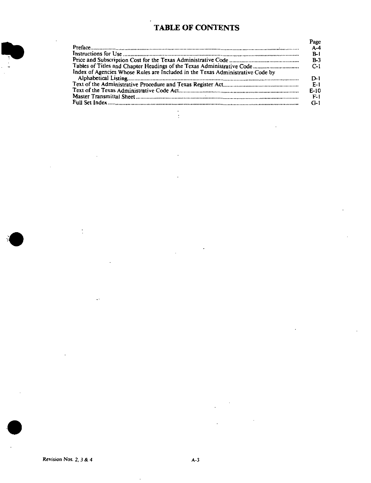# TABLE OF CONTENTS

|                                                                                | Page    |
|--------------------------------------------------------------------------------|---------|
|                                                                                | $A - 4$ |
|                                                                                | $P-I$   |
|                                                                                | $P-3$   |
|                                                                                | $C-1$   |
| Index of Agencies Whose Rules are Included in the Texas Administrative Code by | D-1     |
|                                                                                | - E-1   |
|                                                                                | $E-10$  |
|                                                                                | $F-1$   |
|                                                                                | $G-1$   |
|                                                                                |         |

 $\overline{a}$ Ŷ.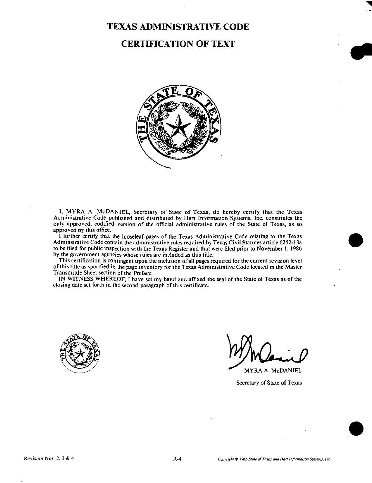# TEXAS ADMINISTRATIVE CODE

# CERTIFICATION OF TEXT



I, MYRA A. McDANIEL, Secretary of State of Texas, do hereby certify that the Texas Administrative Code published and distributed by Hart Information Systems, Inc. constitutes the only approved, codified version of the official administrative rules of the State of Texas, as so approved by this office.

I further certify that the looseleaf pages of the Texas Administrative Code relating to the Texas Adminstrative Code contain the administrative rules required by Texas Civil Statutes article 6252-13a to be filed for public inspection with the Texas Register and that were filed prior to November 1, 1986 by the government agencies whose rules are included in this title.

This certification is contingent upon the inclusion of all pages required for the current revision level of this title as specified In the page inventory for the Texas Administrative Code located in the Master Transmitile Sheet section of the Preface.

IN WITNESS WHEREOF. 1 have set my hand and affixed the seal of the State of Texas as of the closing date set forth in the second paragraph of this certificate.



^ MYRA A. McDANIEL

Secretary of State of Texas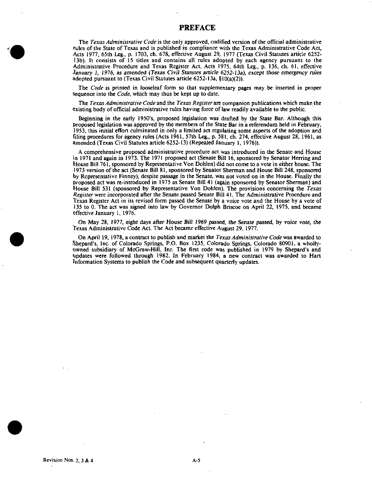#### PREFACE

The Texas Administrative Code is the only approved, codified version of the official administrative rules of the State of Texas and is published in compliance with the Texas Administrative Code Act, Acts 1977, 65th Leg., p. 1703, ch. 678, effective August 29, 1977 (Texas Civil Statutes article 6252- 13b). It consists of 15 titles and contains all rules adopted by each agency pursuant to the Administrative Procedure and Texas Register Act, Acts 1975, 64th Leg., p. 136, ch. 61, effective January 1, 1976, as amended (Texas Civij Statutes article 6252-13a), except those emergency rules adopted pursuant to (Texas Civil Statutes article 6252-13a. § 10(a)(2)).

The Code is printed in looseleaf form so that supplementary pages may be inserted in proper Sequence into the *Code*, which may thus be kept up to date.

The Texas Administrative Code and the Texas Register are companion publications which make the existing body of official administrative rules having force of law readily available to the public.

Beginning in the early 1950's, proposed legislation was drafted by the State Bar. Although this proposed legislation was approved by the members of the State Bar in a referendum held in February, 1953, this initial effort culminated in only a limited act regulating some aspects of the adoption and filing procedures for agency rules (Acts 1961, 57th Leg., p. 581, ch. 274, effective August 28, 1961, as amended (Texas Civil Statutes article 6252-13) (Repealed January 1, 1976)).

A comprehensive proposed administrative procedure act was introduced in the Senate and House in 1971 and again in 1973. The 1971 proposed act (Senate Bill 16, sponsored by Senator Herring and House Bill 761, sponsored by Representative Von Dohlen) did not come to a vote in either house. The 1973 version of the act (Senate Bill 81, sponsored by Senator Sherman and House Bill 248, sponsored by Representative Finney), despite passage in the Senate, was not voted on in the House. Finally the proposed act was re-introduced in 1975 as Senate Bill 41 (again sponsored by Senator Sherman) and House Bill 531 (sponsored by Representative Von Dohlen), The provisions concerning the Texas Register were incorporated after the Senate passed Senate Bill 41. The Administrative Procedure and Texas Register Act in its revised form passed the Senate by a voice vote and the House by a vote of 135 to 0. The act was signed into law by Governor Dolph Briscoe on April 22, 1975, and became effective January 1, 1976.

On May 28, 1977. eight days after House Bill 1969 passed, the Senate passed, by voice vote, the Texas Administrative Code Act. The Act became effective August 29. 1977.

On April 19, 1978, a contract to publish and market the *Texas Administrative Code* was awarded to Shepard's, Inc. of Colorado Springs, P.O. Box 1235, Colorado Springs, Colorado 80901. a wholly-Owned subsidiary of McGraw-Hill, Inc. The first code was published in 1979 by Shepard's and updates were followed through 1982. In February 1984, a new contract was awarded to Hart Information Systems to publish the Code and subsequent quarterly updates.